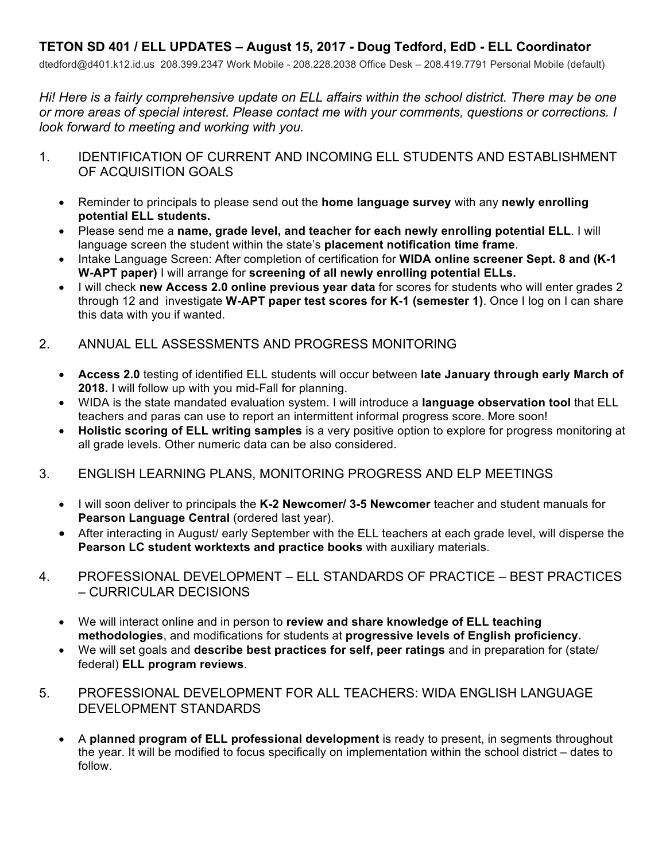## **TETON SD 401 / ELL UPDATES – August 15, 2017 - Doug Tedford, EdD - ELL Coordinator**

dtedford@d401.k12.id.us 208.399.2347 Work Mobile - 208.228.2038 Office Desk – 208.419.7791 Personal Mobile (default)

*Hi! Here is a fairly comprehensive update on ELL affairs within the school district. There may be one or more areas of special interest. Please contact me with your comments, questions or corrections. I look forward to meeting and working with you.* 

- 1. IDENTIFICATION OF CURRENT AND INCOMING ELL STUDENTS AND ESTABLISHMENT OF ACQUISITION GOALS
	- Reminder to principals to please send out the **home language survey** with any **newly enrolling potential ELL students.**
	- Please send me a **name, grade level, and teacher for each newly enrolling potential ELL**. I will language screen the student within the state's **placement notification time frame**.
	- Intake Language Screen: After completion of certification for **WIDA online screener Sept. 8 and (K-1 W-APT paper)** I will arrange for **screening of all newly enrolling potential ELLs.**
	- I will check **new Access 2.0 online previous year data** for scores for students who will enter grades 2 through 12 and investigate **W-APT paper test scores for K-1 (semester 1)**. Once I log on I can share this data with you if wanted.

## 2. ANNUAL ELL ASSESSMENTS AND PROGRESS MONITORING

- **Access 2.0** testing of identified ELL students will occur between **late January through early March of 2018.** I will follow up with you mid-Fall for planning.
- WIDA is the state mandated evaluation system. I will introduce a **language observation tool** that ELL teachers and paras can use to report an intermittent informal progress score. More soon!
- **Holistic scoring of ELL writing samples** is a very positive option to explore for progress monitoring at all grade levels. Other numeric data can be also considered.

## 3. ENGLISH LEARNING PLANS, MONITORING PROGRESS AND ELP MEETINGS

- I will soon deliver to principals the **K-2 Newcomer/ 3-5 Newcomer** teacher and student manuals for **Pearson Language Central (ordered last year).**
- After interacting in August/ early September with the ELL teachers at each grade level, will disperse the **Pearson LC student worktexts and practice books** with auxiliary materials.
- 4. PROFESSIONAL DEVELOPMENT ELL STANDARDS OF PRACTICE BEST PRACTICES – CURRICULAR DECISIONS
	- We will interact online and in person to **review and share knowledge of ELL teaching methodologies**, and modifications for students at **progressive levels of English proficiency**.
	- We will set goals and **describe best practices for self, peer ratings** and in preparation for (state/ federal) **ELL program reviews**.
- 5. PROFESSIONAL DEVELOPMENT FOR ALL TEACHERS: WIDA ENGLISH LANGUAGE DEVELOPMENT STANDARDS
	- A **planned program of ELL professional development** is ready to present, in segments throughout the year. It will be modified to focus specifically on implementation within the school district – dates to follow.